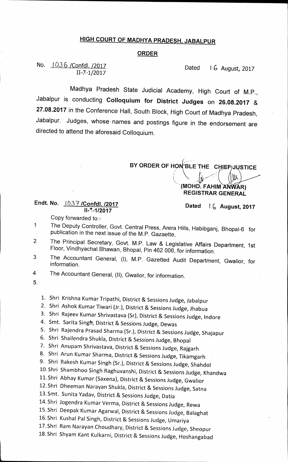## **HIGH COURT OF MADHYA PRADESH, JABALPUR**

## **ORDER**

## **N. t**036 **/Confdl. /2017 II-74/2017**

**Dated I** G **August, 2017** 

**Madhya Pradesh State Judicial Academy, High Court of M.P., Jabalpur is conducting Colloquium for District Judges on 26.08.2017 & 27.08.2017 in the Conference Hall, South Block, High Court of Madhya Pradesh, Jabalpur. Judges, whose- names and postings figure in the endorsement are directed to attend the aforesaid Colloquium.** 

BY ORDER OF HON<sup>'</sup>BLE THE CHIEF<sub>/J</sub>USTICE ║Ж **-(MOHD. FAHIM AR) REGISTRAR GENERAL** 

**Endt. No. 1037 /Confdl. /2017 II-1-1/2017** 

Dated 16 August, 2017

**Copy forwarded to:-** 

- **1 The Deputy Controller, Govt. Central Press, Arera Hills, Habibganj, Bhopal-6 for publication in the next issue of the M.P. Gazaette,**
- **2 The Principal Secretary, Govt. M.P. Law & Legislative Affairs Department, 1st Floor, Vindhyachal Bhawan, Bhopal, Pin 462 006, for information.**
- **3 The Accountant General, (I), M.P. Gazetted Audit Department, Gwalior, for information.**
- **4 The Accountant General, (II), Gwalior, for information.**
- **5.**

**1. Shri Krishna Kumar Tripathi, District & Sessions Judge, Jabalpur** 

- **2. Shri Ashok Kumar Tiwari (Jr.), District & Sessions Judge, Jhabua**
- **3. Shri Rajeev Kumar Shrivastava (Sr), District & Sessions Judge, lndore**
- **4. Smt. Santa Singh, District & Sessions Judge, Dewas**
- **5. Shri Rajendra Prasad Sharma (Sr.), District & Sessions Judge, Shajapur**
- **6. Shri Shailendra Shukla, District & Sessions Judge, Bhopal**
- **7. Shri Anupam Shrivastava, District & Sessions Judge, Rajgarh**
- **8. Shri Arun Kumar Sharma, District & Sessions Judge, Tikamgarh**
- **9. Shri Rakesh Kumar Singh (Sr.), District & Sessions Judge, Shahdol**
- **10. Shri Shambhoo Singh Raghuvanshi, District & Sessions Judge, Khandwa**
- **11. Shri Abhay Kumar (Saxena), District & Sessions Judge, Gwalior**
- **12. Shri Dheeman Narayan Shukla, District & Sessions Judge, Satna**
- **13. Smt. Sunita Yadav, District & Sessions Judge, Datia**
- **14. Shri Jogendra Kumar Verma, District & Sessions Judge, Rewa**
- **15. Shri Deepak Kumar Agarwal, District & Sessions Judge, Balaghat**
- **16. Shri Kushal Pal Singh, District & Sessions Judge, Umariya**
- **17. Shri Ram Narayan Choudhary, District & Sessions Judge, Sheopur**
- **18. Shri Shyam Kant Kulkarni, District & Sessions Judge, Hoshangabad**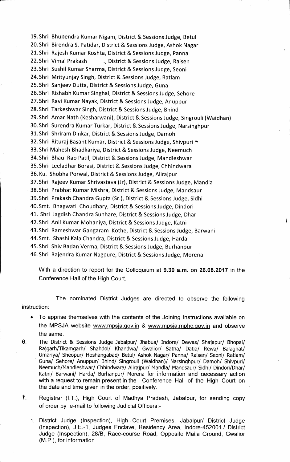**19. Shri Bhupendra Kumar Nigam, District & Sessions Judge, Betul 20. Shri Birendra S. Patidar, District & Sessions Judge, Ashok Nagar 21. Shri Rajesh Kumar Koshta, District & Sessions Judge, Panna**  22. Shri Vimal Prakash **District & Sessions Judge, Raisen 23. Shri Sushil Kumar Sharma, District & Sessions Judge, Seoni 24. Shri Mrityunjay Singh, District & Sessions Judge, Ratlam 25. Shri Sanjeev Dutta, District & Sessions Judge, Guna 26. Shri Rishabh Kumar Singhai, District & Sessions Judge, Sehore 27. Shri Ravi Kumar Nayak, District & Sessions Judge, Anuppur 28. Shri Tarkeshwar Singh, District & Sessions Judge, Bhind 29. Shri Amar Nath (Kesharwani), District & Sessions Judge, Singrouli (Waidhan) 30. Shri Surendra Kumar Turkar, District & Sessions Judge, Narsinghpur 31. Shri Shriram Dinkar, District & Sessions Judge, Damoh 32. Shri Rituraj Basant Kumar, District & Sessions Judge, Shivpuri 33. Shri Mahesh Bhadkariya, District & Sessions Judge, Neemuch 34. Shri Bhau Rao Patil, District & Sessions Judge, Mandleshwar 35. Shri Leeladhar Borasi, District & Sessions Judge, Chhindwara 36. Ku. Shobha Porwal, District & Sessions Judge, Alirajpur 37. Shri Rajeev Kumar Shrivastava (Jr), District & Sessions Judge, Mandla 38. Shri Prabhat Kumar Mishra, District & Sessions Judge, Mandsaur 39. Shri Prakash Chandra Gupta (Sr.), District & Sessions Judge, Sidhi 40. Smt. Bhagwati Choudhary, District & Sessions Judge, Dindori 41. Shri Jagdish Chandra Sunhare, District & Sessions Judge, Dhar 42. Shri Anil Kumar Mohaniya, District & Sessions Judge, Katni 43. Shri Rameshwar Gangaram Kothe, District & Sessions Judge, Barwani 44. Smt. Shashi Kala Chandra, District & Sessions Judge, Harda 45. Shri Shiv Badan Verma, District & Sessions Judge, Burhanpur 46. Shri Rajendra Kumar Nagpure, District & Sessions Judge, Morena** 

**With a direction to report for the Colloquium at 9.30 a.m. on 26.08.2017 in the Conference Hall of the High Court.** 

**The nominated District Judges are directed to observe the following instruction:** 

- **To apprise themselves with the contents of the Joining Instructions available on**  the MPSJA website www.mpsja.gov.in & www.mpsja.mphc.gov.in and observe **the same.**
- **6. The District & Sessions Judge Jabalpur/ Jhabua/ Indore/ Dewas/ Shajapur/ Bhopal/ Rajgarh/Tikamgarh/ Shahdol/ Khandwa/ Gwalior/ Satna/ Datia/ Rewa/ Balaghat/ Umariya/ Sheopur/ Hoshangabad/ Betul/ Ashok Nagar/ Panna/ Raisen/ Seoni/ Ratlam/ Guna/ Sehore/ Anuppur/ Bhind/ Singrouli (Waidhan)/ Narsinghpur/ Damoh/ Shivpuri/ Neemuch/Mandleshwar/ Chhindwara/ Alirajpur/ Mandla/ Mandsaur/ Sidhi/ Dindori/Dhar/ Katni/ Barwani/ Harda/ Burhanpur/ Morena for information and necessary action with a request to remain present in the Conference Hall of the High Court on the date and time given in the order, positively.**
- $\mathcal{T}$ **Registrar (I.T.), High Court of Madhya Pradesh, Jabalpur, for sending copy of order by e-mail to following Judicial Officers:-** 
	- **1. District Judge (Inspection), High Court Premises, Jabalpur/ District Judge (Inspection), J.E.-1, Judges Enclave, Residency Area, lndore-452001./ District Judge (Inspection), 28/B, Race-course Road, Opposite Maila Ground, Gwalior (M.P.), for information.**